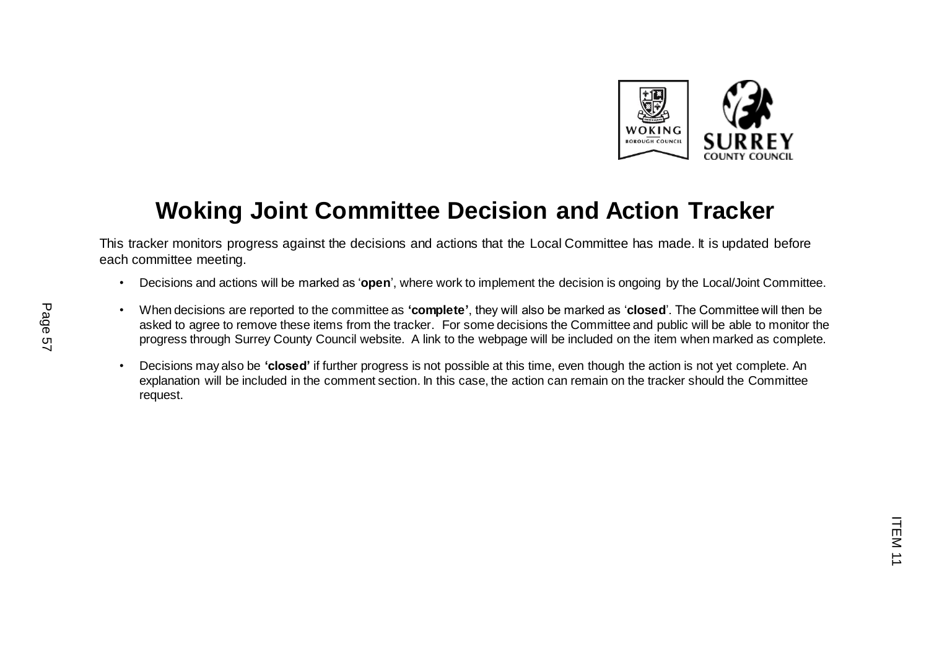

## **Woking Joint Committee Decision and Action Tracker**

This tracker monitors progress against the decisions and actions that the Local Committee has made. It is updated before each committee meeting.

- Decisions and actions will be marked as '**open**', where work to implement the decision is ongoing by the Local/Joint Committee.
- When decisions are reported to the committee as **'complete'**, they will also be marked as '**closed**'. The Committee will then be asked to agree to remove these items from the tracker. For some decisions the Committee and public will be able to monitor the progress through Surrey County Council website. A link to the webpage will be included on the item when marked as complete.
- Decisions may also be **'closed'** if further progress is not possible at this time, even though the action is not yet complete. An explanation will be included in the comment section. In this case, the action can remain on the tracker should the Committee request.